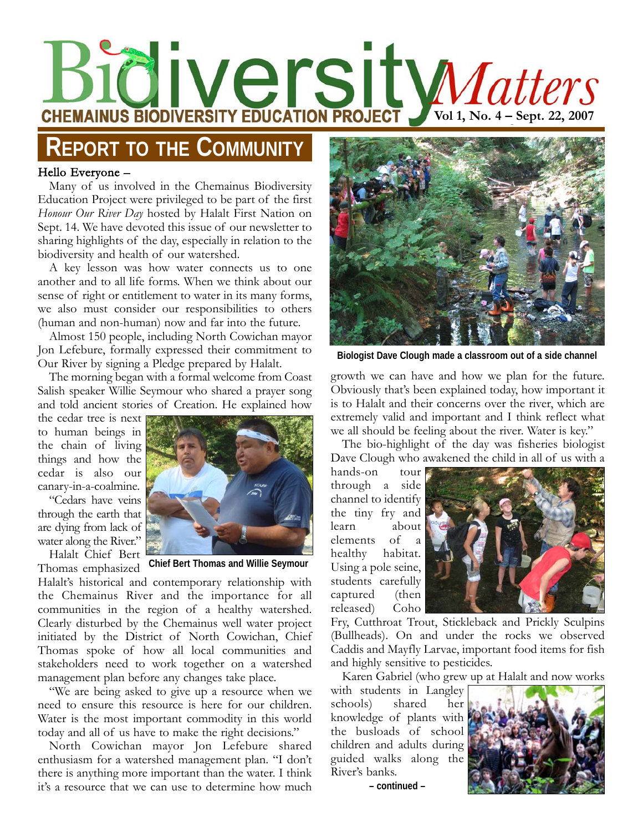# **VOLUT SITE MANUS BIODIVERSITY EDUCATION PROJECT VOLUT, No. 4 – Sept. 22, 2007**

## **REPORT TO THE COMMUNITY**

#### Hello Everyone –

Many of us involved in the Chemainus Biodiversity Education Project were privileged to be part of the first *Honour Our River Day* hosted by Halalt First Nation on Sept. 14. We have devoted this issue of our newsletter to sharing highlights of the day, especially in relation to the biodiversity and health of our watershed.

A key lesson was how water connects us to one another and to all life forms. When we think about our sense of right or entitlement to water in its many forms, we also must consider our responsibilities to others (human and non-human) now and far into the future.

Almost 150 people, including North Cowichan mayor Jon Lefebure, formally expressed their commitment to Our River by signing a Pledge prepared by Halalt.

The morning began with a formal welcome from Coast Salish speaker Willie Seymour who shared a prayer song and told ancient stories of Creation. He explained how

the cedar tree is next to human beings in the chain of living things and how the cedar is also our canary-in-a-coalmine.

"Cedars have veins through the earth that are dying from lack of water along the River."

Halalt Chief Bert



Thomas emphasized **Chief Bert Thomas and Willie Seymour**

Halalt's historical and contemporary relationship with the Chemainus River and the importance for all communities in the region of a healthy watershed. Clearly disturbed by the Chemainus well water project initiated by the District of North Cowichan, Chief Thomas spoke of how all local communities and stakeholders need to work together on a watershed management plan before any changes take place.

"We are being asked to give up a resource when we need to ensure this resource is here for our children. Water is the most important commodity in this world today and all of us have to make the right decisions."

North Cowichan mayor Jon Lefebure shared enthusiasm for a watershed management plan. "I don't there is anything more important than the water. I think it's a resource that we can use to determine how much



**Biologist Dave Clough made a classroom out of a side channel**

growth we can have and how we plan for the future. Obviously that's been explained today, how important it is to Halalt and their concerns over the river, which are extremely valid and important and I think reflect what we all should be feeling about the river. Water is key."

The bio-highlight of the day was fisheries biologist Dave Clough who awakened the child in all of us with a

hands-on tour through a side channel to identify the tiny fry and learn about elements of a healthy habitat. Using a pole seine, students carefully captured (then released) Coho



Fry, Cutthroat Trout, Stickleback and Prickly Sculpins (Bullheads). On and under the rocks we observed Caddis and Mayfly Larvae, important food items for fish and highly sensitive to pesticides.

Karen Gabriel (who grew up at Halalt and now works

with students in Langley schools) shared her knowledge of plants with the busloads of school children and adults during guided walks along the River's banks.

**– continued –**

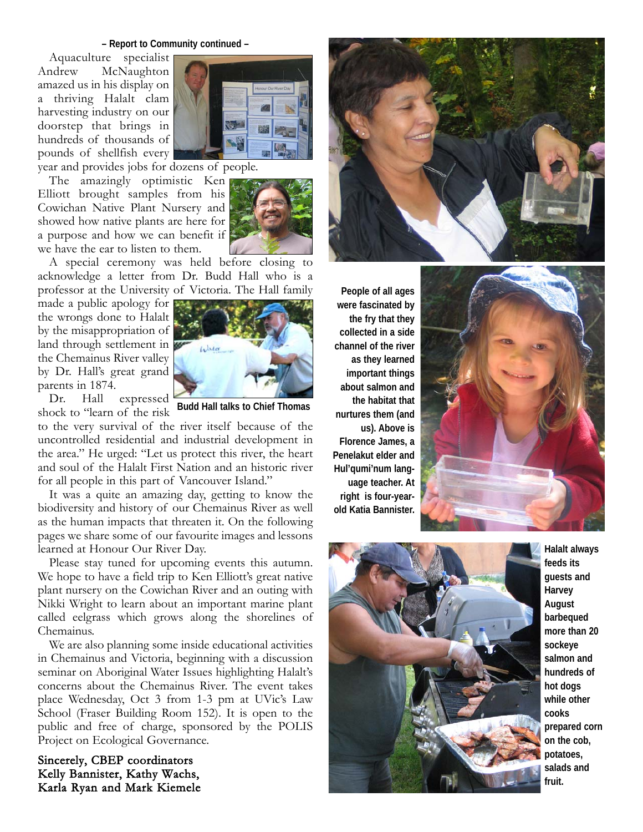#### **– Report to Community continued –**

Aquaculture specialist Andrew McNaughton amazed us in his display on a thriving Halalt clam harvesting industry on our doorstep that brings in hundreds of thousands of pounds of shellfish every



year and provides jobs for dozens of people.

The amazingly optimistic Ken Elliott brought samples from his Cowichan Native Plant Nursery and showed how native plants are here for a purpose and how we can benefit if we have the ear to listen to them.



A special ceremony was held before closing to acknowledge a letter from Dr. Budd Hall who is a professor at the University of Victoria. The Hall family

made a public apology for the wrongs done to Halalt by the misappropriation of land through settlement in the Chemainus River valley by Dr. Hall's great grand parents in 1874.



Dr. Hall expressed

shock to "learn of the risk **Budd Hall talks to Chief Thomas**

to the very survival of the river itself because of the uncontrolled residential and industrial development in the area." He urged: "Let us protect this river, the heart and soul of the Halalt First Nation and an historic river for all people in this part of Vancouver Island."

It was a quite an amazing day, getting to know the biodiversity and history of our Chemainus River as well as the human impacts that threaten it. On the following pages we share some of our favourite images and lessons learned at Honour Our River Day.

Please stay tuned for upcoming events this autumn. We hope to have a field trip to Ken Elliott's great native plant nursery on the Cowichan River and an outing with Nikki Wright to learn about an important marine plant called eelgrass which grows along the shorelines of Chemainus.

We are also planning some inside educational activities in Chemainus and Victoria, beginning with a discussion seminar on Aboriginal Water Issues highlighting Halalt's concerns about the Chemainus River. The event takes place Wednesday, Oct 3 from 1-3 pm at UVic's Law School (Fraser Building Room 152). It is open to the public and free of charge, sponsored by the POLIS Project on Ecological Governance.

Sincerely, CBEP coordinators Kelly Bannister, Kathy Wachs, Karla Ryan and Mark Kiemele



**People of all ages were fascinated by the fry that they collected in a side channel of the river as they learned important things about salmon and the habitat that nurtures them (and us). Above is Florence James, a Penelakut elder and Hul'qumi'num language teacher. At right is four-yearold Katia Bannister.**





**Halalt always feeds its guests and Harvey August barbequed more than 20 sockeye salmon and hundreds of hot dogs while other cooks prepared corn on the cob, potatoes, salads and fruit.**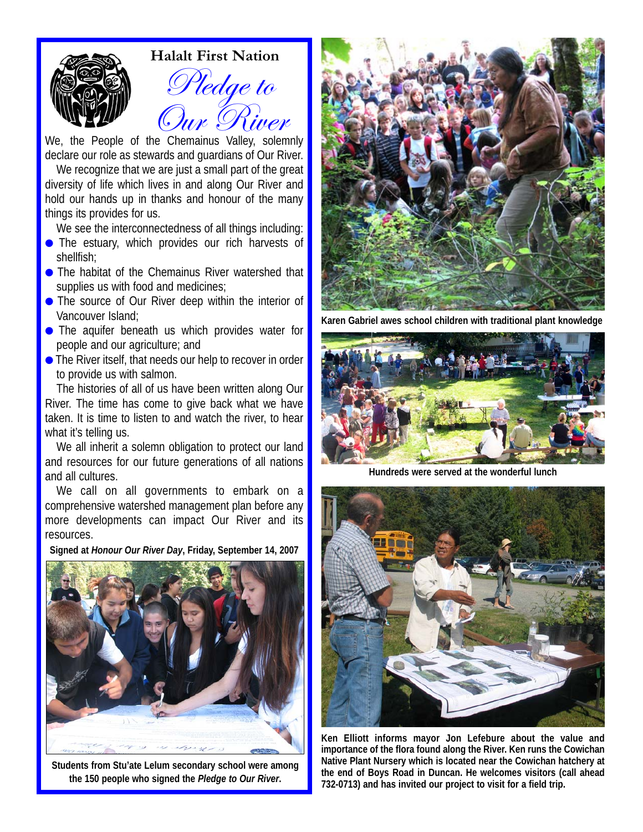

#### **Halalt First Nation**

Pledge to Our River

We, the People of the Chemainus Valley, solemnly declare our role as stewards and guardians of Our River.

We recognize that we are just a small part of the great diversity of life which lives in and along Our River and hold our hands up in thanks and honour of the many things its provides for us.

We see the interconnectedness of all things including:

- **•** The estuary, which provides our rich harvests of shellfish;
- The habitat of the Chemainus River watershed that supplies us with food and medicines;
- The source of Our River deep within the interior of Vancouver Island;
- The aquifer beneath us which provides water for people and our agriculture; and
- The River itself, that needs our help to recover in order to provide us with salmon.

The histories of all of us have been written along Our River. The time has come to give back what we have taken. It is time to listen to and watch the river, to hear what it's telling us.

We all inherit a solemn obligation to protect our land and resources for our future generations of all nations and all cultures.

We call on all governments to embark on a comprehensive watershed management plan before any more developments can impact Our River and its resources.

**Signed at** *Honour Our River Day***, Friday, September 14, 2007**



**Students from Stu'ate Lelum secondary school were among the 150 people who signed the** *Pledge to Our River***.**



**Karen Gabriel awes school children with traditional plant knowledge**



**Hundreds were served at the wonderful lunch**



**Ken Elliott informs mayor Jon Lefebure about the value and importance of the flora found along the River. Ken runs the Cowichan Native Plant Nursery which is located near the Cowichan hatchery at the end of Boys Road in Duncan. He welcomes visitors (call ahead 732-0713) and has invited our project to visit for a field trip.**